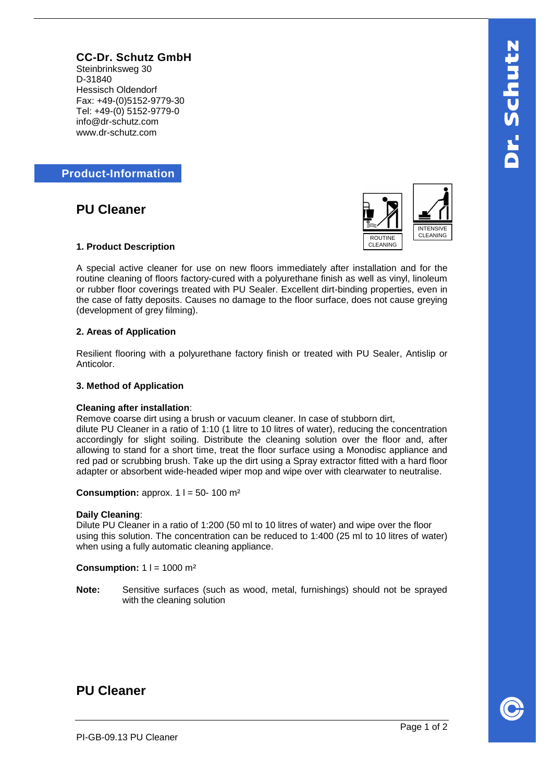**CC-Dr. Schutz GmbH** Steinbrinksweg 30 D-31840 Hessisch Oldendorf Fax: +49-(0)5152-9779-30 Tel: +49-(0) 5152-9779-0 info@dr-schutz.com www.dr-schutz.com

**Product-Information**

**PU Cleaner**



# **1. Product Description**

A special active cleaner for use on new floors immediately after installation and for the routine cleaning of floors factory-cured with a polyurethane finish as well as vinyl, linoleum or rubber floor coverings treated with PU Sealer. Excellent dirt-binding properties, even in the case of fatty deposits. Causes no damage to the floor surface, does not cause greying (development of grey filming).

# **2. Areas of Application**

Resilient flooring with a polyurethane factory finish or treated with PU Sealer, Antislip or Anticolor.

## **3. Method of Application**

#### **Cleaning after installation**:

Remove coarse dirt using a brush or vacuum cleaner. In case of stubborn dirt,

dilute PU Cleaner in a ratio of 1:10 (1 litre to 10 litres of water), reducing the concentration accordingly for slight soiling. Distribute the cleaning solution over the floor and, after allowing to stand for a short time, treat the floor surface using a Monodisc appliance and red pad or scrubbing brush. Take up the dirt using a Spray extractor fitted with a hard floor adapter or absorbent wide-headed wiper mop and wipe over with clearwater to neutralise.

**Consumption:** approx.  $1 \mid 1 = 50 - 100$  m<sup>2</sup>

#### **Daily Cleaning**:

Dilute PU Cleaner in a ratio of 1:200 (50 ml to 10 litres of water) and wipe over the floor using this solution. The concentration can be reduced to 1:400 (25 ml to 10 litres of water) when using a fully automatic cleaning appliance.

**Consumption:** 1 l = 1000 m<sup>2</sup>

**Note:** Sensitive surfaces (such as wood, metal, furnishings) should not be sprayed with the cleaning solution

# **PU Cleaner**